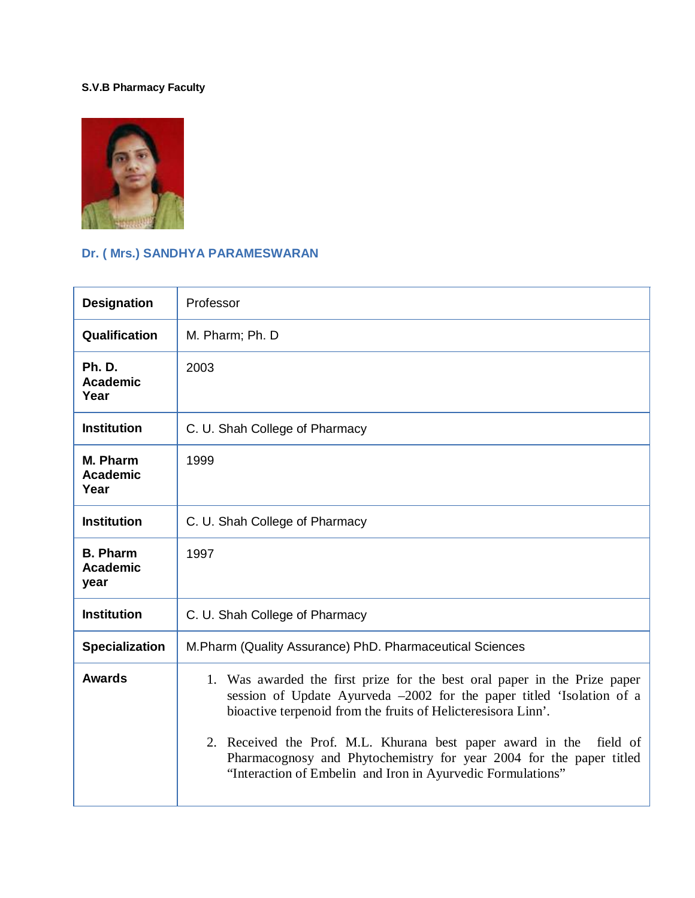#### **S.V.B Pharmacy Faculty**



# **Dr. ( Mrs.) SANDHYA PARAMESWARAN**

| <b>Designation</b>                         | Professor                                                                                                                                                                                                                                                                                                                                                                                                                           |  |  |
|--------------------------------------------|-------------------------------------------------------------------------------------------------------------------------------------------------------------------------------------------------------------------------------------------------------------------------------------------------------------------------------------------------------------------------------------------------------------------------------------|--|--|
| Qualification                              | M. Pharm; Ph. D                                                                                                                                                                                                                                                                                                                                                                                                                     |  |  |
| <b>Ph. D.</b><br><b>Academic</b><br>Year   | 2003                                                                                                                                                                                                                                                                                                                                                                                                                                |  |  |
| <b>Institution</b>                         | C. U. Shah College of Pharmacy                                                                                                                                                                                                                                                                                                                                                                                                      |  |  |
| M. Pharm<br><b>Academic</b><br>Year        | 1999                                                                                                                                                                                                                                                                                                                                                                                                                                |  |  |
| <b>Institution</b>                         | C. U. Shah College of Pharmacy                                                                                                                                                                                                                                                                                                                                                                                                      |  |  |
| <b>B. Pharm</b><br><b>Academic</b><br>year | 1997                                                                                                                                                                                                                                                                                                                                                                                                                                |  |  |
| <b>Institution</b>                         | C. U. Shah College of Pharmacy                                                                                                                                                                                                                                                                                                                                                                                                      |  |  |
| <b>Specialization</b>                      | M.Pharm (Quality Assurance) PhD. Pharmaceutical Sciences                                                                                                                                                                                                                                                                                                                                                                            |  |  |
| <b>Awards</b>                              | 1. Was awarded the first prize for the best oral paper in the Prize paper<br>session of Update Ayurveda -2002 for the paper titled 'Isolation of a<br>bioactive terpenoid from the fruits of Helicteresisora Linn'.<br>2. Received the Prof. M.L. Khurana best paper award in the<br>field of<br>Pharmacognosy and Phytochemistry for year 2004 for the paper titled<br>"Interaction of Embelin and Iron in Ayurvedic Formulations" |  |  |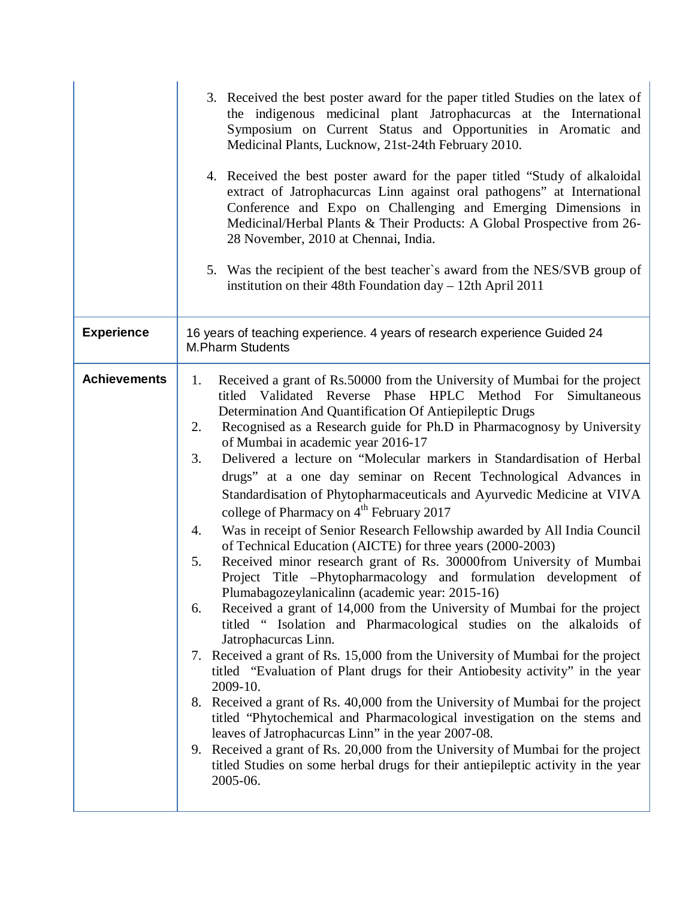|                     | 3. Received the best poster award for the paper titled Studies on the latex of<br>the indigenous medicinal plant Jatrophacurcas at the International<br>Symposium on Current Status and Opportunities in Aromatic and<br>Medicinal Plants, Lucknow, 21st-24th February 2010.<br>4. Received the best poster award for the paper titled "Study of alkaloidal"<br>extract of Jatrophacurcas Linn against oral pathogens" at International<br>Conference and Expo on Challenging and Emerging Dimensions in<br>Medicinal/Herbal Plants & Their Products: A Global Prospective from 26-<br>28 November, 2010 at Chennai, India.<br>5. Was the recipient of the best teacher's award from the NES/SVB group of<br>institution on their 48th Foundation day - 12th April 2011                                                                                                                                                                                                                                                                                                                                                                                                                                                                                                                                                                                                                                                                                                                                                                                                                                                                                                                                                                               |  |
|---------------------|-------------------------------------------------------------------------------------------------------------------------------------------------------------------------------------------------------------------------------------------------------------------------------------------------------------------------------------------------------------------------------------------------------------------------------------------------------------------------------------------------------------------------------------------------------------------------------------------------------------------------------------------------------------------------------------------------------------------------------------------------------------------------------------------------------------------------------------------------------------------------------------------------------------------------------------------------------------------------------------------------------------------------------------------------------------------------------------------------------------------------------------------------------------------------------------------------------------------------------------------------------------------------------------------------------------------------------------------------------------------------------------------------------------------------------------------------------------------------------------------------------------------------------------------------------------------------------------------------------------------------------------------------------------------------------------------------------------------------------------------------------|--|
| <b>Experience</b>   | 16 years of teaching experience. 4 years of research experience Guided 24<br><b>M.Pharm Students</b>                                                                                                                                                                                                                                                                                                                                                                                                                                                                                                                                                                                                                                                                                                                                                                                                                                                                                                                                                                                                                                                                                                                                                                                                                                                                                                                                                                                                                                                                                                                                                                                                                                                  |  |
| <b>Achievements</b> | Received a grant of Rs.50000 from the University of Mumbai for the project<br>1.<br>titled Validated Reverse Phase HPLC Method For Simultaneous<br>Determination And Quantification Of Antiepileptic Drugs<br>Recognised as a Research guide for Ph.D in Pharmacognosy by University<br>2.<br>of Mumbai in academic year 2016-17<br>Delivered a lecture on "Molecular markers in Standardisation of Herbal<br>3.<br>drugs" at a one day seminar on Recent Technological Advances in<br>Standardisation of Phytopharmaceuticals and Ayurvedic Medicine at VIVA<br>college of Pharmacy on 4 <sup>th</sup> February 2017<br>Was in receipt of Senior Research Fellowship awarded by All India Council<br>4.<br>of Technical Education (AICTE) for three years (2000-2003)<br>Received minor research grant of Rs. 30000from University of Mumbai<br>5.<br>Project Title -Phytopharmacology and formulation development of<br>Plumabagozeylanicalinn (academic year: 2015-16)<br>Received a grant of 14,000 from the University of Mumbai for the project<br>6.<br>titled " Isolation and Pharmacological studies on the alkaloids of<br>Jatrophacurcas Linn.<br>Received a grant of Rs. 15,000 from the University of Mumbai for the project<br>7.<br>titled "Evaluation of Plant drugs for their Antiobesity activity" in the year<br>2009-10.<br>8. Received a grant of Rs. 40,000 from the University of Mumbai for the project<br>titled "Phytochemical and Pharmacological investigation on the stems and<br>leaves of Jatrophacurcas Linn" in the year 2007-08.<br>9. Received a grant of Rs. 20,000 from the University of Mumbai for the project<br>titled Studies on some herbal drugs for their antiepileptic activity in the year<br>2005-06. |  |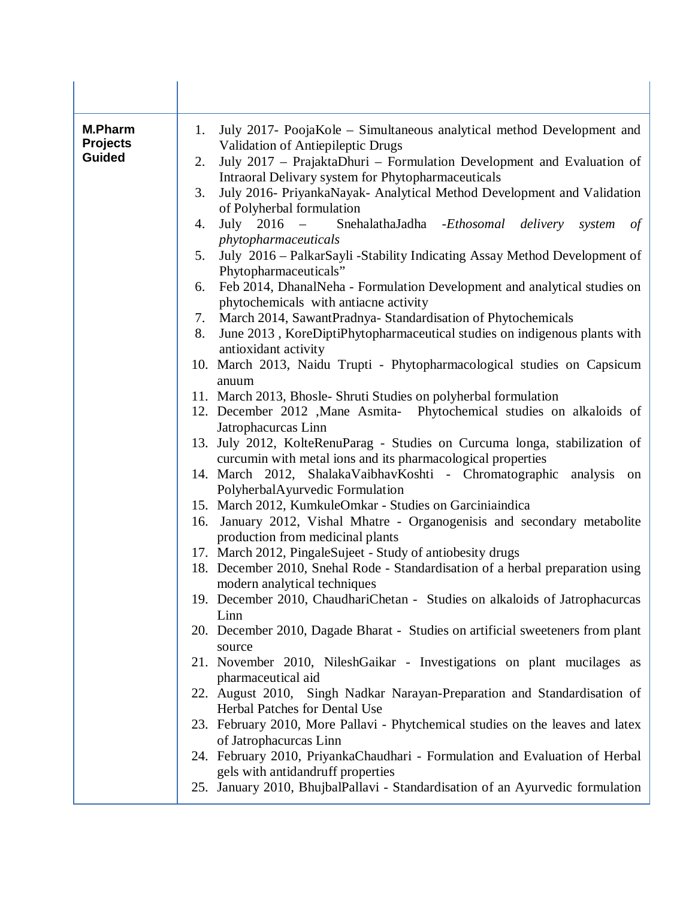| <b>M.Pharm</b><br><b>Projects</b><br><b>Guided</b> | July 2017- PoojaKole – Simultaneous analytical method Development and<br>1.<br>Validation of Antiepileptic Drugs<br>July 2017 - PrajaktaDhuri - Formulation Development and Evaluation of<br>2.<br>Intraoral Delivary system for Phytopharmaceuticals<br>July 2016- PriyankaNayak- Analytical Method Development and Validation<br>3.<br>of Polyherbal formulation<br>July 2016 – SnehalathaJadha - Ethosomal delivery<br>4.<br>system<br>of<br>phytopharmaceuticals<br>July 2016 – PalkarSayli -Stability Indicating Assay Method Development of<br>5.<br>Phytopharmaceuticals"<br>Feb 2014, DhanalNeha - Formulation Development and analytical studies on<br>6.<br>phytochemicals with antiacne activity<br>March 2014, SawantPradnya-Standardisation of Phytochemicals<br>7.<br>June 2013, KoreDiptiPhytopharmaceutical studies on indigenous plants with<br>8.<br>antioxidant activity<br>10. March 2013, Naidu Trupti - Phytopharmacological studies on Capsicum<br>anuum<br>11. March 2013, Bhosle- Shruti Studies on polyherbal formulation<br>12. December 2012 , Mane Asmita- Phytochemical studies on alkaloids of |
|----------------------------------------------------|-------------------------------------------------------------------------------------------------------------------------------------------------------------------------------------------------------------------------------------------------------------------------------------------------------------------------------------------------------------------------------------------------------------------------------------------------------------------------------------------------------------------------------------------------------------------------------------------------------------------------------------------------------------------------------------------------------------------------------------------------------------------------------------------------------------------------------------------------------------------------------------------------------------------------------------------------------------------------------------------------------------------------------------------------------------------------------------------------------------------------------|
|                                                    | Jatrophacurcas Linn<br>13. July 2012, KolteRenuParag - Studies on Curcuma longa, stabilization of<br>curcumin with metal ions and its pharmacological properties<br>14. March 2012, ShalakaVaibhavKoshti - Chromatographic analysis on<br>PolyherbalAyurvedic Formulation<br>15. March 2012, KumkuleOmkar - Studies on Garciniaindica<br>16. January 2012, Vishal Mhatre - Organogenisis and secondary metabolite<br>production from medicinal plants<br>17. March 2012, PingaleSujeet - Study of antiobesity drugs<br>18. December 2010, Snehal Rode - Standardisation of a herbal preparation using<br>modern analytical techniques<br>19. December 2010, ChaudhariChetan - Studies on alkaloids of Jatrophacurcas<br>Linn<br>20. December 2010, Dagade Bharat - Studies on artificial sweeteners from plant<br>source                                                                                                                                                                                                                                                                                                      |
|                                                    | 21. November 2010, NileshGaikar - Investigations on plant mucilages as<br>pharmaceutical aid<br>22. August 2010, Singh Nadkar Narayan-Preparation and Standardisation of<br>Herbal Patches for Dental Use<br>23. February 2010, More Pallavi - Phytchemical studies on the leaves and latex<br>of Jatrophacurcas Linn<br>24. February 2010, PriyankaChaudhari - Formulation and Evaluation of Herbal<br>gels with antidandruff properties<br>25. January 2010, BhujbalPallavi - Standardisation of an Ayurvedic formulation                                                                                                                                                                                                                                                                                                                                                                                                                                                                                                                                                                                                   |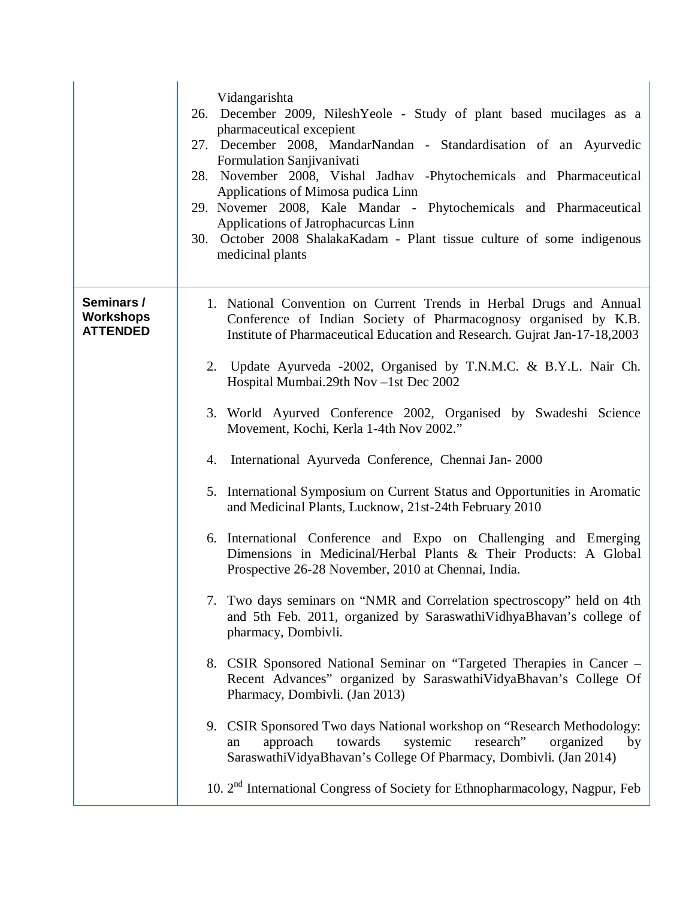|                                                   | Vidangarishta<br>26. December 2009, NileshYeole - Study of plant based mucilages as a<br>pharmaceutical excepient<br>27. December 2008, MandarNandan - Standardisation of an Ayurvedic<br>Formulation Sanjivanivati<br>28. November 2008, Vishal Jadhav -Phytochemicals and Pharmaceutical<br>Applications of Mimosa pudica Linn<br>29. Novemer 2008, Kale Mandar - Phytochemicals and Pharmaceutical<br>Applications of Jatrophacureas Linn<br>30. October 2008 ShalakaKadam - Plant tissue culture of some indigenous<br>medicinal plants |
|---------------------------------------------------|---------------------------------------------------------------------------------------------------------------------------------------------------------------------------------------------------------------------------------------------------------------------------------------------------------------------------------------------------------------------------------------------------------------------------------------------------------------------------------------------------------------------------------------------|
| Seminars /<br><b>Workshops</b><br><b>ATTENDED</b> | 1. National Convention on Current Trends in Herbal Drugs and Annual<br>Conference of Indian Society of Pharmacognosy organised by K.B.<br>Institute of Pharmaceutical Education and Research. Gujrat Jan-17-18,2003                                                                                                                                                                                                                                                                                                                         |
|                                                   | 2. Update Ayurveda -2002, Organised by T.N.M.C. & B.Y.L. Nair Ch.<br>Hospital Mumbai.29th Nov -1st Dec 2002                                                                                                                                                                                                                                                                                                                                                                                                                                 |
|                                                   | 3. World Ayurved Conference 2002, Organised by Swadeshi Science<br>Movement, Kochi, Kerla 1-4th Nov 2002."                                                                                                                                                                                                                                                                                                                                                                                                                                  |
|                                                   | International Ayurveda Conference, Chennai Jan-2000<br>4.                                                                                                                                                                                                                                                                                                                                                                                                                                                                                   |
|                                                   | 5. International Symposium on Current Status and Opportunities in Aromatic<br>and Medicinal Plants, Lucknow, 21st-24th February 2010                                                                                                                                                                                                                                                                                                                                                                                                        |
|                                                   | 6. International Conference and Expo on Challenging and Emerging<br>Dimensions in Medicinal/Herbal Plants & Their Products: A Global<br>Prospective 26-28 November, 2010 at Chennai, India.                                                                                                                                                                                                                                                                                                                                                 |
|                                                   | 7. Two days seminars on "NMR and Correlation spectroscopy" held on 4th<br>and 5th Feb. 2011, organized by SaraswathiVidhyaBhavan's college of<br>pharmacy, Dombivli.                                                                                                                                                                                                                                                                                                                                                                        |
|                                                   | 8. CSIR Sponsored National Seminar on "Targeted Therapies in Cancer -<br>Recent Advances" organized by SaraswathiVidyaBhavan's College Of<br>Pharmacy, Dombivli. (Jan 2013)                                                                                                                                                                                                                                                                                                                                                                 |
|                                                   | 9. CSIR Sponsored Two days National workshop on "Research Methodology:<br>research"<br>towards<br>systemic<br>approach<br>organized<br>by<br>an<br>SaraswathiVidyaBhavan's College Of Pharmacy, Dombivli. (Jan 2014)                                                                                                                                                                                                                                                                                                                        |
|                                                   | 10. 2 <sup>nd</sup> International Congress of Society for Ethnopharmacology, Nagpur, Feb                                                                                                                                                                                                                                                                                                                                                                                                                                                    |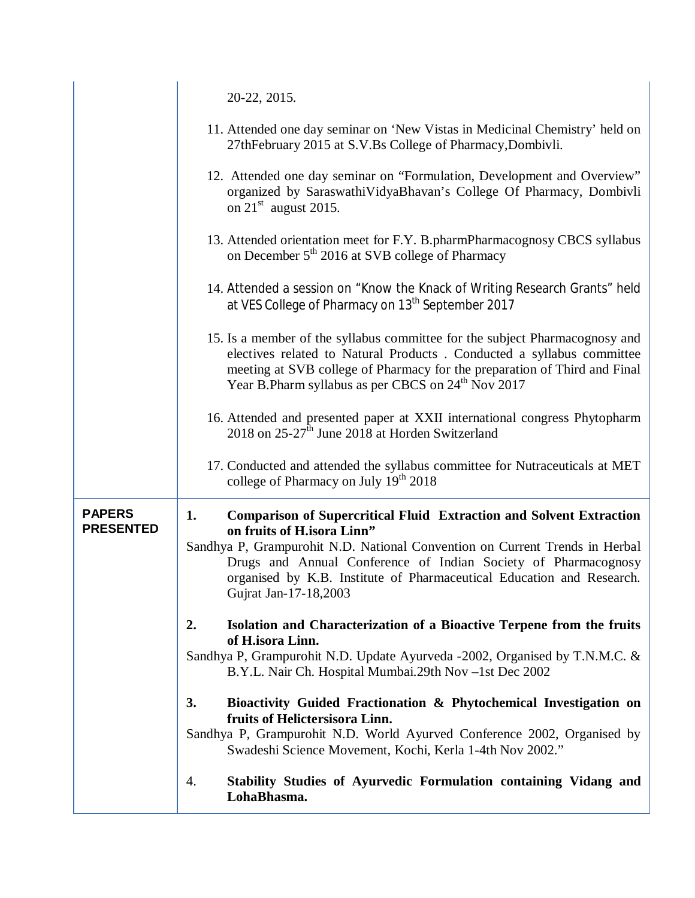|                                   | 20-22, 2015.                                                                                                                                                                                                                                                                                                                                                      |
|-----------------------------------|-------------------------------------------------------------------------------------------------------------------------------------------------------------------------------------------------------------------------------------------------------------------------------------------------------------------------------------------------------------------|
|                                   | 11. Attended one day seminar on 'New Vistas in Medicinal Chemistry' held on<br>27thFebruary 2015 at S.V.Bs College of Pharmacy, Dombivli.                                                                                                                                                                                                                         |
|                                   | 12. Attended one day seminar on "Formulation, Development and Overview"<br>organized by SaraswathiVidyaBhavan's College Of Pharmacy, Dombivli<br>on $21st$ august 2015.                                                                                                                                                                                           |
|                                   | 13. Attended orientation meet for F.Y. B.pharmPharmacognosy CBCS syllabus<br>on December 5 <sup>th</sup> 2016 at SVB college of Pharmacy                                                                                                                                                                                                                          |
|                                   | 14. Attended a session on "Know the Knack of Writing Research Grants" held<br>at VES College of Pharmacy on 13 <sup>th</sup> September 2017                                                                                                                                                                                                                       |
|                                   | 15. Is a member of the syllabus committee for the subject Pharmacognosy and<br>electives related to Natural Products . Conducted a syllabus committee<br>meeting at SVB college of Pharmacy for the preparation of Third and Final<br>Year B.Pharm syllabus as per CBCS on 24 <sup>th</sup> Nov 2017                                                              |
|                                   | 16. Attended and presented paper at XXII international congress Phytopharm<br>2018 on 25-27 <sup>th</sup> June 2018 at Horden Switzerland                                                                                                                                                                                                                         |
|                                   | 17. Conducted and attended the syllabus committee for Nutraceuticals at MET<br>college of Pharmacy on July 19 <sup>th</sup> 2018                                                                                                                                                                                                                                  |
| <b>PAPERS</b><br><b>PRESENTED</b> | <b>Comparison of Supercritical Fluid Extraction and Solvent Extraction</b><br>1.<br>on fruits of H.isora Linn"<br>Sandhya P, Grampurohit N.D. National Convention on Current Trends in Herbal<br>Drugs and Annual Conference of Indian Society of Pharmacognosy<br>organised by K.B. Institute of Pharmaceutical Education and Research.<br>Gujrat Jan-17-18,2003 |
|                                   | 2.<br>Isolation and Characterization of a Bioactive Terpene from the fruits<br>of H.isora Linn.<br>Sandhya P, Grampurohit N.D. Update Ayurveda -2002, Organised by T.N.M.C. &<br>B.Y.L. Nair Ch. Hospital Mumbai.29th Nov -1st Dec 2002                                                                                                                           |
|                                   | 3.<br>Bioactivity Guided Fractionation & Phytochemical Investigation on<br>fruits of Helictersisora Linn.<br>Sandhya P, Grampurohit N.D. World Ayurved Conference 2002, Organised by<br>Swadeshi Science Movement, Kochi, Kerla 1-4th Nov 2002."                                                                                                                  |
|                                   | Stability Studies of Ayurvedic Formulation containing Vidang and<br>4.<br>LohaBhasma.                                                                                                                                                                                                                                                                             |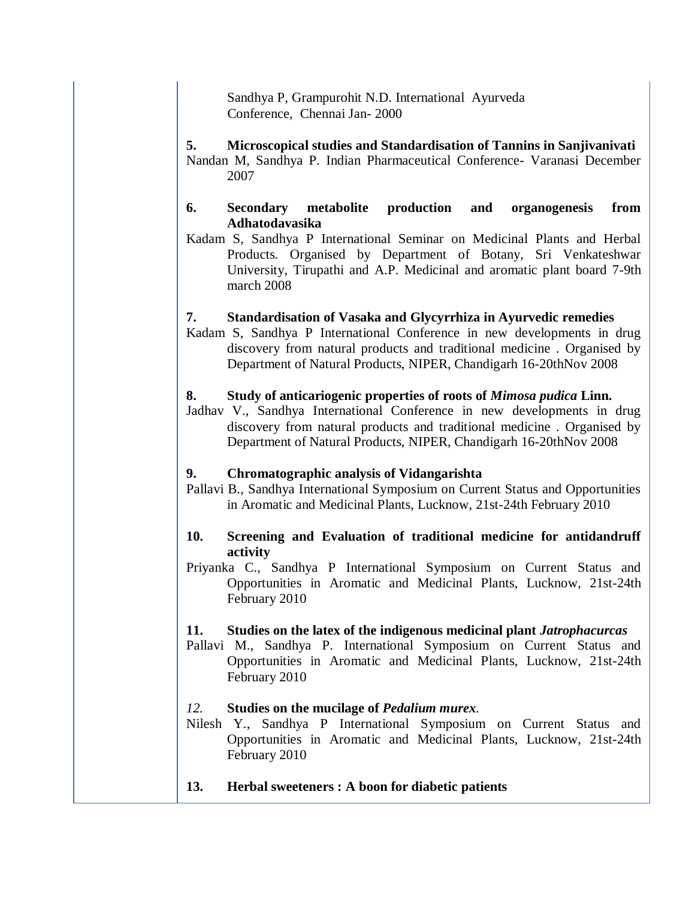Sandhya P, Grampurohit N.D. International Ayurveda Conference, Chennai Jan- 2000

# **5. Microscopical studies and Standardisation of Tannins in Sanjivanivati**

Nandan M, Sandhya P. Indian Pharmaceutical Conference- Varanasi December 2007

#### **6. Secondary metabolite production and organogenesis from Adhatodavasika**

Kadam S, Sandhya P International Seminar on Medicinal Plants and Herbal Products. Organised by Department of Botany, Sri Venkateshwar University, Tirupathi and A.P. Medicinal and aromatic plant board 7-9th march 2008

## **7. Standardisation of Vasaka and Glycyrrhiza in Ayurvedic remedies**

Kadam S, Sandhya P International Conference in new developments in drug discovery from natural products and traditional medicine . Organised by Department of Natural Products, NIPER, Chandigarh 16-20thNov 2008

#### **8. Study of anticariogenic properties of roots of** *Mimosa pudica* **Linn.**

Jadhav V., Sandhya International Conference in new developments in drug discovery from natural products and traditional medicine . Organised by Department of Natural Products, NIPER, Chandigarh 16-20thNov 2008

## **9. Chromatographic analysis of Vidangarishta**

Pallavi B., Sandhya International Symposium on Current Status and Opportunities in Aromatic and Medicinal Plants, Lucknow, 21st-24th February 2010

## **10. Screening and Evaluation of traditional medicine for antidandruff activity**

Priyanka C., Sandhya P International Symposium on Current Status and Opportunities in Aromatic and Medicinal Plants, Lucknow, 21st-24th February 2010

#### **11. Studies on the latex of the indigenous medicinal plant** *Jatrophacurcas*

Pallavi M., Sandhya P. International Symposium on Current Status and Opportunities in Aromatic and Medicinal Plants, Lucknow, 21st-24th February 2010

#### *12.* **Studies on the mucilage of** *Pedalium murex.*

Nilesh Y., Sandhya P International Symposium on Current Status and Opportunities in Aromatic and Medicinal Plants, Lucknow, 21st-24th February 2010

**13. Herbal sweeteners : A boon for diabetic patients**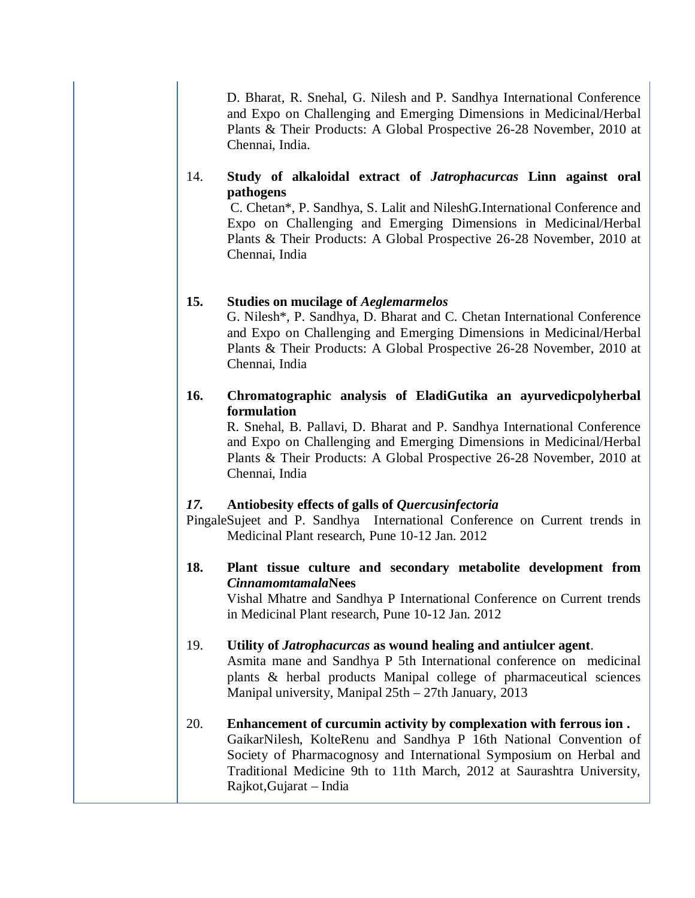D. Bharat, R. Snehal, G. Nilesh and P. Sandhya International Conference and Expo on Challenging and Emerging Dimensions in Medicinal/Herbal Plants & Their Products: A Global Prospective 26-28 November, 2010 at Chennai, India.

#### 14. **Study of alkaloidal extract of** *Jatrophacurcas* **Linn against oral pathogens**

C. Chetan\*, P. Sandhya, S. Lalit and NileshG.International Conference and Expo on Challenging and Emerging Dimensions in Medicinal/Herbal Plants & Their Products: A Global Prospective 26-28 November, 2010 at Chennai, India

#### **15. Studies on mucilage of** *Aeglemarmelos*

 G. Nilesh\*, P. Sandhya, D. Bharat and C. Chetan International Conference and Expo on Challenging and Emerging Dimensions in Medicinal/Herbal Plants & Their Products: A Global Prospective 26-28 November, 2010 at Chennai, India

## **16. Chromatographic analysis of EladiGutika an ayurvedicpolyherbal formulation**

 R. Snehal, B. Pallavi, D. Bharat and P. Sandhya International Conference and Expo on Challenging and Emerging Dimensions in Medicinal/Herbal Plants & Their Products: A Global Prospective 26-28 November, 2010 at Chennai, India

#### *17.* **Antiobesity effects of galls of** *Quercusinfectoria*

PingaleSujeet and P. Sandhya International Conference on Current trends in Medicinal Plant research, Pune 10-12 Jan. 2012

#### **18. Plant tissue culture and secondary metabolite development from**  *Cinnamomtamala***Nees**

 Vishal Mhatre and Sandhya P International Conference on Current trends in Medicinal Plant research, Pune 10-12 Jan. 2012

# 19. **Utility of** *Jatrophacurcas* **as wound healing and antiulcer agent**.

Asmita mane and Sandhya P 5th International conference on medicinal plants & herbal products Manipal college of pharmaceutical sciences Manipal university, Manipal 25th – 27th January, 2013

#### 20. **Enhancement of curcumin activity by complexation with ferrous ion .** GaikarNilesh, KolteRenu and Sandhya P 16th National Convention of Society of Pharmacognosy and International Symposium on Herbal and Traditional Medicine 9th to 11th March, 2012 at Saurashtra University, Rajkot,Gujarat – India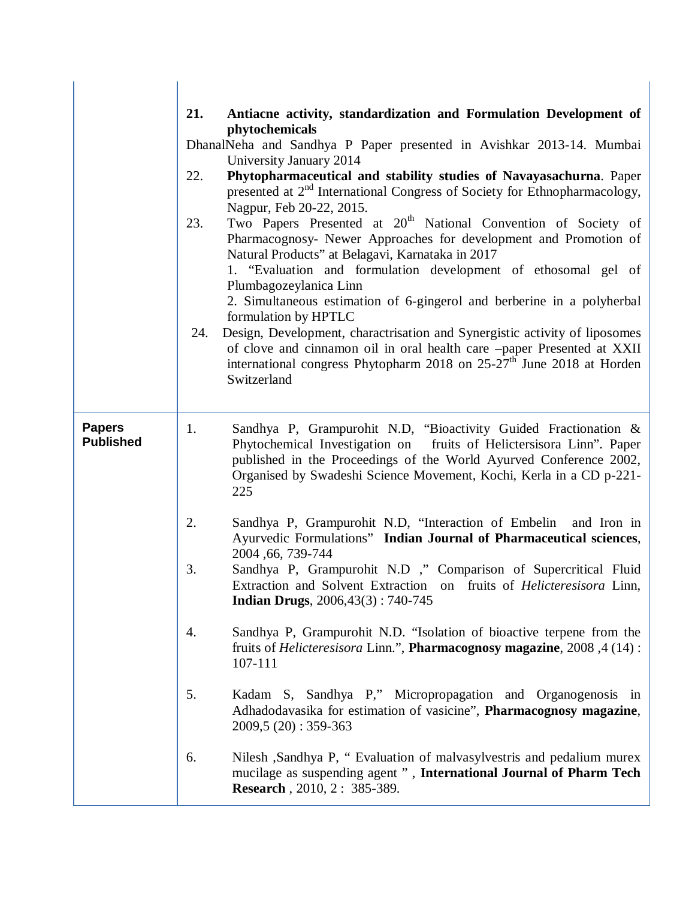|                                   | 21.<br>22.<br>23.<br>24. | Antiacne activity, standardization and Formulation Development of<br>phytochemicals<br>DhanalNeha and Sandhya P Paper presented in Avishkar 2013-14. Mumbai<br>University January 2014<br>Phytopharmaceutical and stability studies of Navayasachurna. Paper<br>presented at 2 <sup>nd</sup> International Congress of Society for Ethnopharmacology,<br>Nagpur, Feb 20-22, 2015.<br>Two Papers Presented at 20 <sup>th</sup> National Convention of Society of<br>Pharmacognosy- Newer Approaches for development and Promotion of<br>Natural Products" at Belagavi, Karnataka in 2017<br>1. "Evaluation and formulation development of ethosomal gel of<br>Plumbagozeylanica Linn<br>2. Simultaneous estimation of 6-gingerol and berberine in a polyherbal<br>formulation by HPTLC<br>Design, Development, charactrisation and Synergistic activity of liposomes<br>of clove and cinnamon oil in oral health care -paper Presented at XXII<br>international congress Phytopharm 2018 on 25-27 <sup>th</sup> June 2018 at Horden<br>Switzerland |
|-----------------------------------|--------------------------|---------------------------------------------------------------------------------------------------------------------------------------------------------------------------------------------------------------------------------------------------------------------------------------------------------------------------------------------------------------------------------------------------------------------------------------------------------------------------------------------------------------------------------------------------------------------------------------------------------------------------------------------------------------------------------------------------------------------------------------------------------------------------------------------------------------------------------------------------------------------------------------------------------------------------------------------------------------------------------------------------------------------------------------------------|
| <b>Papers</b><br><b>Published</b> | 1.                       | Sandhya P, Grampurohit N.D, "Bioactivity Guided Fractionation &<br>Phytochemical Investigation on fruits of Helictersisora Linn". Paper<br>published in the Proceedings of the World Ayurved Conference 2002,<br>Organised by Swadeshi Science Movement, Kochi, Kerla in a CD p-221-<br>225                                                                                                                                                                                                                                                                                                                                                                                                                                                                                                                                                                                                                                                                                                                                                       |
|                                   | 2.                       | Sandhya P, Grampurohit N.D, "Interaction of Embelin and Iron in<br>Ayurvedic Formulations" Indian Journal of Pharmaceutical sciences,<br>2004, 66, 739-744                                                                                                                                                                                                                                                                                                                                                                                                                                                                                                                                                                                                                                                                                                                                                                                                                                                                                        |
|                                   | 3.                       | Sandhya P, Grampurohit N.D ," Comparison of Supercritical Fluid<br>Extraction and Solvent Extraction on fruits of <i>Helicteresisora</i> Linn,<br><b>Indian Drugs</b> , $2006,43(3): 740-745$                                                                                                                                                                                                                                                                                                                                                                                                                                                                                                                                                                                                                                                                                                                                                                                                                                                     |
|                                   | 4.                       | Sandhya P, Grampurohit N.D. "Isolation of bioactive terpene from the<br>fruits of <i>Helicteresisora</i> Linn.", <b>Pharmacognosy magazine</b> , 2008, 4 (14):<br>107-111                                                                                                                                                                                                                                                                                                                                                                                                                                                                                                                                                                                                                                                                                                                                                                                                                                                                         |
|                                   | 5.                       | Kadam S, Sandhya P," Micropropagation and Organogenosis in<br>Adhadodavasika for estimation of vasicine", Pharmacognosy magazine,<br>$2009,5(20):359-363$                                                                                                                                                                                                                                                                                                                                                                                                                                                                                                                                                                                                                                                                                                                                                                                                                                                                                         |
|                                   | 6.                       | Nilesh ,Sandhya P, "Evaluation of malvasylvestris and pedalium murex<br>mucilage as suspending agent ", International Journal of Pharm Tech<br><b>Research</b> , 2010, 2: 385-389.                                                                                                                                                                                                                                                                                                                                                                                                                                                                                                                                                                                                                                                                                                                                                                                                                                                                |

 $\overline{\phantom{a}}$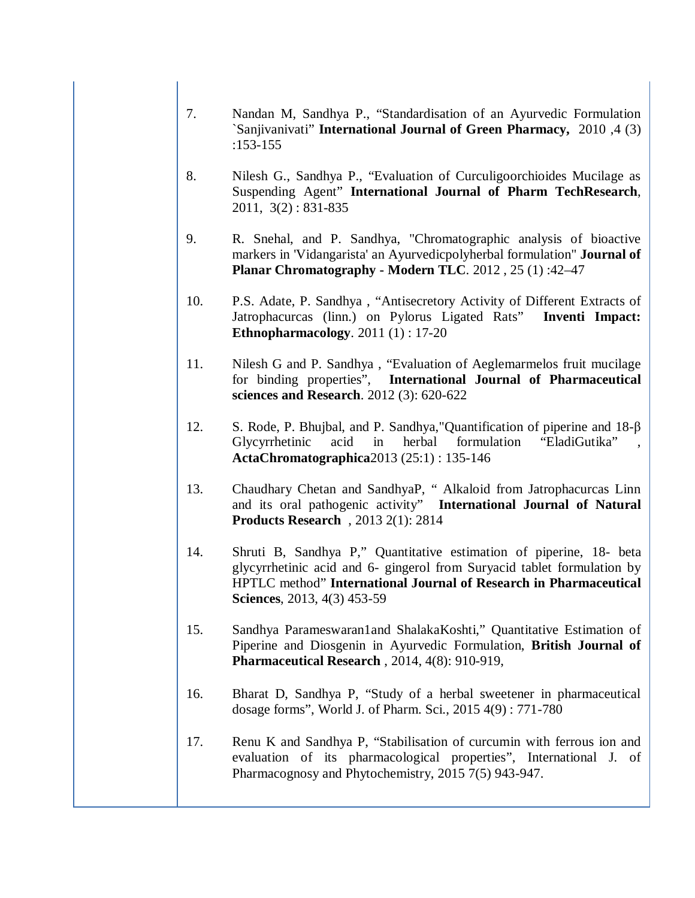- 7. Nandan M, Sandhya P., "Standardisation of an Ayurvedic Formulation `Sanjivanivati" **International Journal of Green Pharmacy,** 2010 ,4 (3) :153-155
- 8. Nilesh G., Sandhya P., "Evaluation of Curculigoorchioides Mucilage as Suspending Agent" **International Journal of Pharm TechResearch**, 2011, 3(2) : 831-835
- 9. R. Snehal, and P. Sandhya, "Chromatographic analysis of bioactive markers in 'Vidangarista' an Ayurvedicpolyherbal formulation" **Journal of Planar Chromatography - Modern TLC**. 2012 , 25 (1) :42–47
- 10. P.S. Adate, P. Sandhya , "Antisecretory Activity of Different Extracts of Jatrophacurcas (linn.) on Pylorus Ligated Rats" **Inventi Impact: Ethnopharmacology**. 2011 (1) : 17-20
- 11. Nilesh G and P. Sandhya , "Evaluation of Aeglemarmelos fruit mucilage for binding properties", **International Journal of Pharmaceutical sciences and Research**. 2012 (3): 620-622
- 12. S. Rode, P. Bhujbal, and P. Sandhya,"Quantification of piperine and 18-β Glycyrrhetinic acid in herbal formulation "EladiGutika" **ActaChromatographica**2013 (25:1) : 135-146
- 13. Chaudhary Chetan and SandhyaP, " Alkaloid from Jatrophacurcas Linn and its oral pathogenic activity" **International Journal of Natural Products Research** , 2013 2(1): 2814
- 14. Shruti B, Sandhya P," Quantitative estimation of piperine, 18- beta glycyrrhetinic acid and 6- gingerol from Suryacid tablet formulation by HPTLC method" **International Journal of Research in Pharmaceutical Sciences**, 2013, 4(3) 453-59
- 15. Sandhya Parameswaran1and ShalakaKoshti," Quantitative Estimation of Piperine and Diosgenin in Ayurvedic Formulation, **British Journal of Pharmaceutical Research** , 2014, 4(8): 910-919,
- 16. Bharat D, Sandhya P, "Study of a herbal sweetener in pharmaceutical dosage forms", World J. of Pharm. Sci., 2015 4(9) : 771-780
- 17. Renu K and Sandhya P, "Stabilisation of curcumin with ferrous ion and evaluation of its pharmacological properties", International J. of Pharmacognosy and Phytochemistry, 2015 7(5) 943-947.